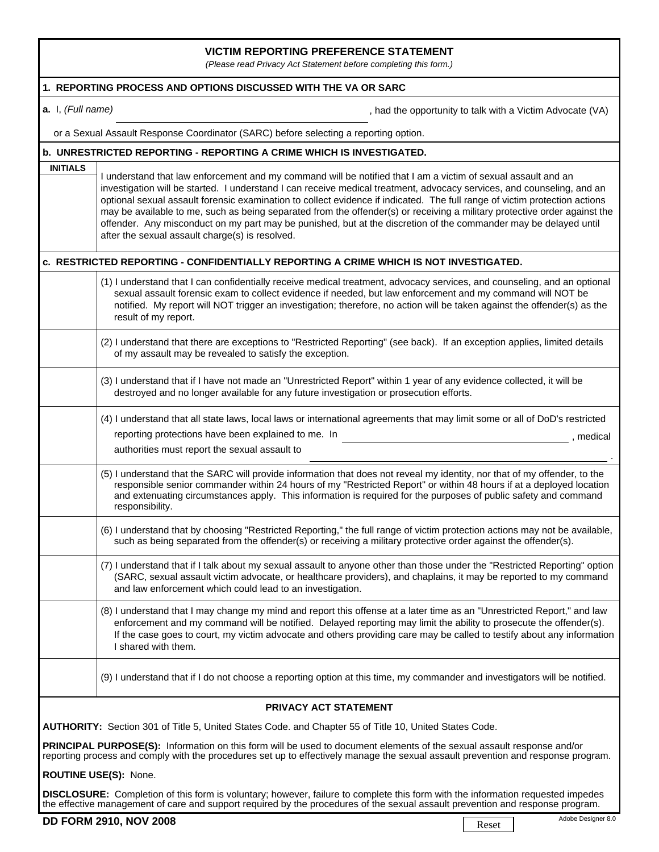## **VICTIM REPORTING PREFERENCE STATEMENT**

*(Please read Privacy Act Statement before completing this form.)*

| 1. REPORTING PROCESS AND OPTIONS DISCUSSED WITH THE VA OR SARC                                                                                                                                                                                                                       |                                                                                                                                                                                                                                                                                                                                                                                                                                                                                                                                                                                                                                                                           |  |  |
|--------------------------------------------------------------------------------------------------------------------------------------------------------------------------------------------------------------------------------------------------------------------------------------|---------------------------------------------------------------------------------------------------------------------------------------------------------------------------------------------------------------------------------------------------------------------------------------------------------------------------------------------------------------------------------------------------------------------------------------------------------------------------------------------------------------------------------------------------------------------------------------------------------------------------------------------------------------------------|--|--|
| a. I, (Full name)                                                                                                                                                                                                                                                                    | , had the opportunity to talk with a Victim Advocate (VA)                                                                                                                                                                                                                                                                                                                                                                                                                                                                                                                                                                                                                 |  |  |
| or a Sexual Assault Response Coordinator (SARC) before selecting a reporting option.                                                                                                                                                                                                 |                                                                                                                                                                                                                                                                                                                                                                                                                                                                                                                                                                                                                                                                           |  |  |
| <b>b. UNRESTRICTED REPORTING - REPORTING A CRIME WHICH IS INVESTIGATED.</b>                                                                                                                                                                                                          |                                                                                                                                                                                                                                                                                                                                                                                                                                                                                                                                                                                                                                                                           |  |  |
| <b>INITIALS</b>                                                                                                                                                                                                                                                                      | I understand that law enforcement and my command will be notified that I am a victim of sexual assault and an<br>investigation will be started. I understand I can receive medical treatment, advocacy services, and counseling, and an<br>optional sexual assault forensic examination to collect evidence if indicated. The full range of victim protection actions<br>may be available to me, such as being separated from the offender(s) or receiving a military protective order against the<br>offender. Any misconduct on my part may be punished, but at the discretion of the commander may be delayed until<br>after the sexual assault charge(s) is resolved. |  |  |
|                                                                                                                                                                                                                                                                                      | C. RESTRICTED REPORTING - CONFIDENTIALLY REPORTING A CRIME WHICH IS NOT INVESTIGATED.                                                                                                                                                                                                                                                                                                                                                                                                                                                                                                                                                                                     |  |  |
|                                                                                                                                                                                                                                                                                      | (1) I understand that I can confidentially receive medical treatment, advocacy services, and counseling, and an optional<br>sexual assault forensic exam to collect evidence if needed, but law enforcement and my command will NOT be<br>notified. My report will NOT trigger an investigation; therefore, no action will be taken against the offender(s) as the<br>result of my report.                                                                                                                                                                                                                                                                                |  |  |
|                                                                                                                                                                                                                                                                                      | (2) I understand that there are exceptions to "Restricted Reporting" (see back). If an exception applies, limited details<br>of my assault may be revealed to satisfy the exception.                                                                                                                                                                                                                                                                                                                                                                                                                                                                                      |  |  |
|                                                                                                                                                                                                                                                                                      | (3) I understand that if I have not made an "Unrestricted Report" within 1 year of any evidence collected, it will be<br>destroyed and no longer available for any future investigation or prosecution efforts.                                                                                                                                                                                                                                                                                                                                                                                                                                                           |  |  |
|                                                                                                                                                                                                                                                                                      | (4) I understand that all state laws, local laws or international agreements that may limit some or all of DoD's restricted<br>reporting protections have been explained to me. In<br>, medical<br>authorities must report the sexual assault to                                                                                                                                                                                                                                                                                                                                                                                                                          |  |  |
|                                                                                                                                                                                                                                                                                      | (5) I understand that the SARC will provide information that does not reveal my identity, nor that of my offender, to the<br>responsible senior commander within 24 hours of my "Restricted Report" or within 48 hours if at a deployed location<br>and extenuating circumstances apply. This information is required for the purposes of public safety and command<br>responsibility.                                                                                                                                                                                                                                                                                    |  |  |
|                                                                                                                                                                                                                                                                                      | (6) I understand that by choosing "Restricted Reporting," the full range of victim protection actions may not be available,<br>such as being separated from the offender(s) or receiving a military protective order against the offender(s).                                                                                                                                                                                                                                                                                                                                                                                                                             |  |  |
|                                                                                                                                                                                                                                                                                      | (7) I understand that if I talk about my sexual assault to anyone other than those under the "Restricted Reporting" option<br>(SARC, sexual assault victim advocate, or healthcare providers), and chaplains, it may be reported to my command<br>and law enforcement which could lead to an investigation.                                                                                                                                                                                                                                                                                                                                                               |  |  |
|                                                                                                                                                                                                                                                                                      | (8) I understand that I may change my mind and report this offense at a later time as an "Unrestricted Report," and law<br>enforcement and my command will be notified. Delayed reporting may limit the ability to prosecute the offender(s).<br>If the case goes to court, my victim advocate and others providing care may be called to testify about any information<br>I shared with them.                                                                                                                                                                                                                                                                            |  |  |
|                                                                                                                                                                                                                                                                                      | (9) I understand that if I do not choose a reporting option at this time, my commander and investigators will be notified.                                                                                                                                                                                                                                                                                                                                                                                                                                                                                                                                                |  |  |
| PRIVACY ACT STATEMENT                                                                                                                                                                                                                                                                |                                                                                                                                                                                                                                                                                                                                                                                                                                                                                                                                                                                                                                                                           |  |  |
| AUTHORITY: Section 301 of Title 5, United States Code. and Chapter 55 of Title 10, United States Code.                                                                                                                                                                               |                                                                                                                                                                                                                                                                                                                                                                                                                                                                                                                                                                                                                                                                           |  |  |
| PRINCIPAL PURPOSE(S): Information on this form will be used to document elements of the sexual assault response and/or<br>reporting process and comply with the procedures set up to effectively manage the sexual assault prevention and response program.<br>ROUTINE USE(S): None. |                                                                                                                                                                                                                                                                                                                                                                                                                                                                                                                                                                                                                                                                           |  |  |

**DISCLOSURE:** Completion of this form is voluntary; however, failure to complete this form with the information requested impedes the effective management of care and support required by the procedures of the sexual assault prevention and response program.